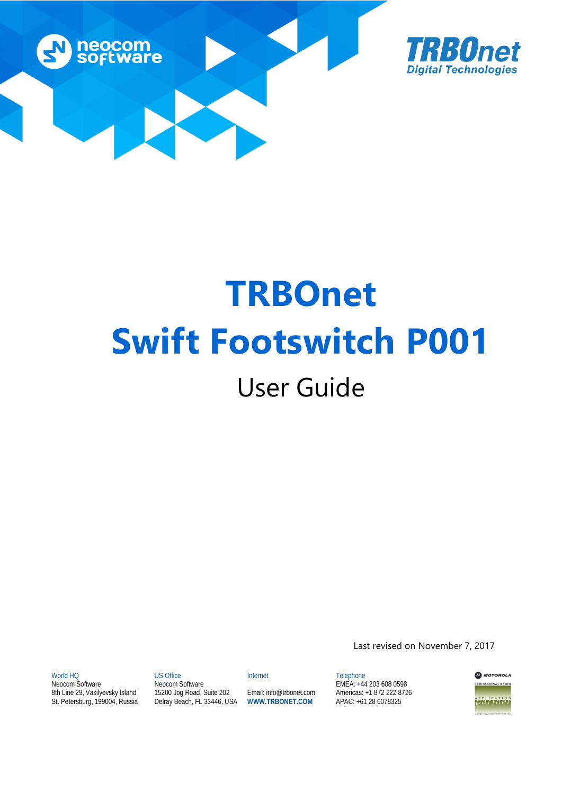



# **TRBOnet Swift Footswitch P001** User Guide

World HQ

Neocom Software 8th Line 29, Vasilyevsky Island St. Petersburg, 199004, Russia

US Office Neocom Software Internet

15200 Jog Road, Suite 202 Delray Beach, FL 33446, USA

Email: info@trbonet.com **WWW.TRBONET.COM**

Telephone EMEA: +44 203 608 0598 Americas: +1 872 222 8726 APAC: +61 28 6078325

Last revised on November 7, 2017

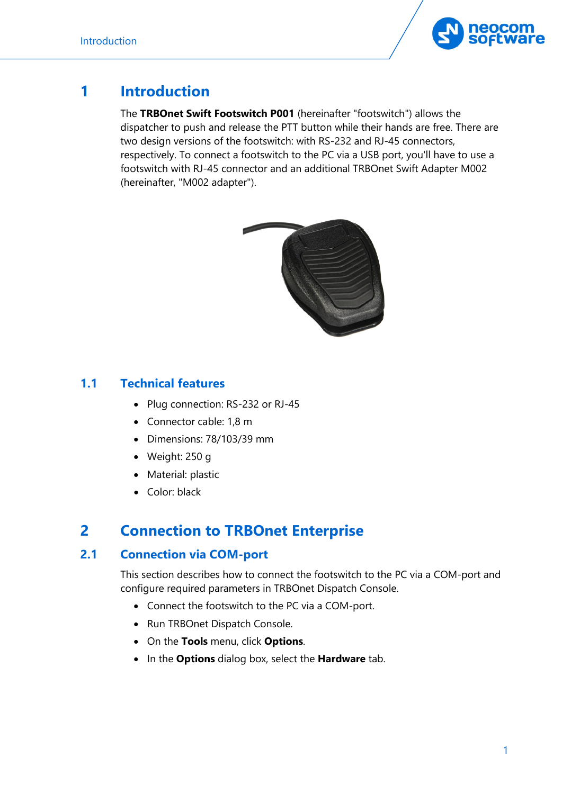

## **1 Introduction**

The **TRBOnet Swift Footswitch P001** (hereinafter "footswitch") allows the dispatcher to push and release the PTT button while their hands are free. There are two design versions of the footswitch: with RS-232 and RJ-45 connectors, respectively. To connect a footswitch to the PC via a USB port, you'll have to use a footswitch with RJ-45 connector and an additional TRBOnet Swift Adapter M002 (hereinafter, "M002 adapter").



### **1.1 Technical features**

- Plug connection: RS-232 or RJ-45
- Connector cable: 1,8 m
- Dimensions: 78/103/39 mm
- Weight: 250 g
- Material: plastic
- Color: black

## **2 Connection to TRBOnet Enterprise**

## **2.1 Connection via COM-port**

This section describes how to connect the footswitch to the PC via a COM-port and configure required parameters in TRBOnet Dispatch Console.

- Connect the footswitch to the PC via a COM-port.
- Run TRBOnet Dispatch Console.
- On the **Tools** menu, click **Options**.
- In the **Options** dialog box, select the **Hardware** tab.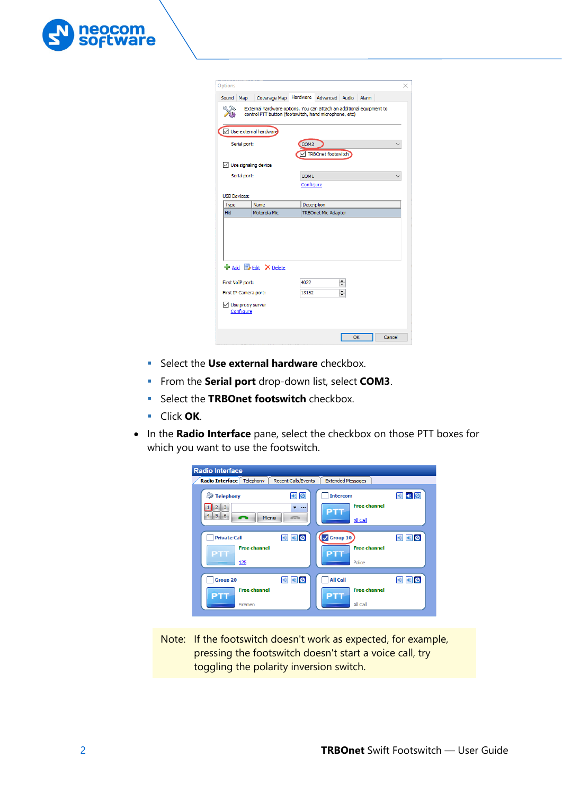

| External hardware options. You can attach an additional equipment to<br>control PTT button (footswitch, hand microphone, etc)<br>Use external hardware<br>Serial port:<br>COM3<br>TRBOnet footswitch<br>$\vee$ Use signaling device<br>Serial port:<br>COM1<br>Configure<br><b>USB Devices:</b><br>Name<br>Description<br>Type<br>Motorola Mic<br><b>TRBOnet Mic Adapter</b><br><b>He Add B</b> Edit X Delete<br>4022<br>÷<br>First VoIP port:<br>$\div$<br>13152<br>First IP Camera port: | Sound<br>Map | Coverage Map | Hardware<br>Advanced Audio<br>Alarm |  |
|--------------------------------------------------------------------------------------------------------------------------------------------------------------------------------------------------------------------------------------------------------------------------------------------------------------------------------------------------------------------------------------------------------------------------------------------------------------------------------------------|--------------|--------------|-------------------------------------|--|
|                                                                                                                                                                                                                                                                                                                                                                                                                                                                                            |              |              |                                     |  |
|                                                                                                                                                                                                                                                                                                                                                                                                                                                                                            |              |              |                                     |  |
|                                                                                                                                                                                                                                                                                                                                                                                                                                                                                            |              |              |                                     |  |
|                                                                                                                                                                                                                                                                                                                                                                                                                                                                                            |              |              |                                     |  |
|                                                                                                                                                                                                                                                                                                                                                                                                                                                                                            |              |              |                                     |  |
|                                                                                                                                                                                                                                                                                                                                                                                                                                                                                            |              |              |                                     |  |
|                                                                                                                                                                                                                                                                                                                                                                                                                                                                                            |              |              |                                     |  |
|                                                                                                                                                                                                                                                                                                                                                                                                                                                                                            |              |              |                                     |  |
|                                                                                                                                                                                                                                                                                                                                                                                                                                                                                            |              |              |                                     |  |
|                                                                                                                                                                                                                                                                                                                                                                                                                                                                                            |              |              |                                     |  |
|                                                                                                                                                                                                                                                                                                                                                                                                                                                                                            |              |              |                                     |  |
| Use proxy server                                                                                                                                                                                                                                                                                                                                                                                                                                                                           | Hid          |              |                                     |  |
| Configure                                                                                                                                                                                                                                                                                                                                                                                                                                                                                  |              |              |                                     |  |

- **Select the Use external hardware** checkbox.
- **Fig. 5** From the **Serial port** drop-down list, select **COM3**.
- **Select the <b>TRBOnet footswitch** checkbox.
- Click **OK**.
- In the **Radio Interface** pane, select the checkbox on those PTT boxes for which you want to use the footswitch.

| <b>Radio Interface</b>                                                                                 |                                                                   |
|--------------------------------------------------------------------------------------------------------|-------------------------------------------------------------------|
| Radio Interface Telephony<br><b>Recent Calls/Events</b>                                                | <b>Extended Messages</b>                                          |
| E.<br>Ø<br><b>Telephony</b><br>电<br>$2 \mid 3 \mid$<br>$\cdots$<br>$4 \mid 5 \mid 6$<br>Menu<br>$\sim$ | <b>Intercom</b><br><b>ER 0</b><br><b>Free channel</b><br>All Call |
| <b>Private Call</b><br><b>ER 0</b><br>$\ket{\bullet})$<br><b>Free channel</b><br>PTT<br>125            | $\sqrt{2}$ Group 10<br>  1   2<br><b>Free channel</b><br>Police   |
| <b>Group 20</b><br>48 2<br><b>Free channel</b><br>Firemen                                              | <b>All Call</b><br><b>EB</b> O<br><b>Free channel</b><br>All Call |

Note: If the footswitch doesn't work as expected, for example, pressing the footswitch doesn't start a voice call, try toggling the polarity inversion switch.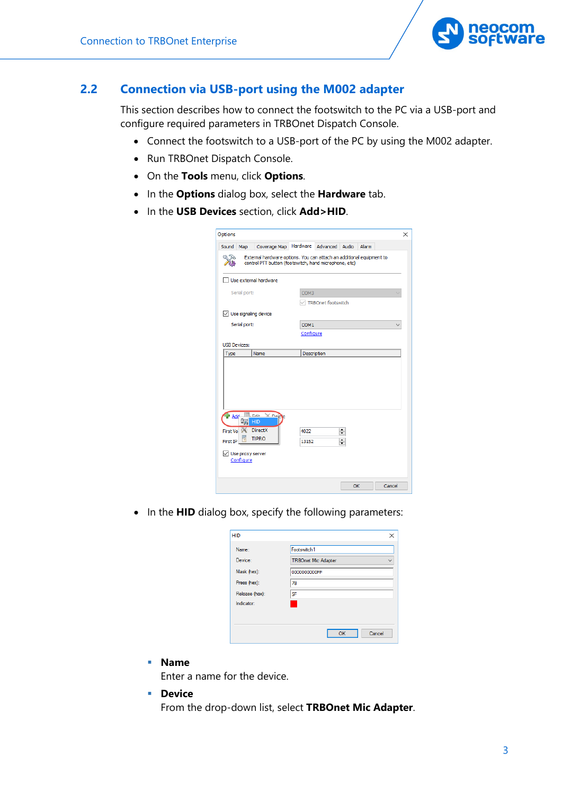

#### **2.2 Connection via USB-port using the M002 adapter**

This section describes how to connect the footswitch to the PC via a USB-port and configure required parameters in TRBOnet Dispatch Console.

- Connect the footswitch to a USB-port of the PC by using the M002 adapter.
- Run TRBOnet Dispatch Console.
- On the **Tools** menu, click **Options**.
- In the **Options** dialog box, select the **Hardware** tab.
- In the **USB Devices** section, click **Add>HID**.

| Sound Map                            |                     | Coverage Map                                                            | Hardware      | Advanced Audio Alarm                                                                                                          |                  |  |  |
|--------------------------------------|---------------------|-------------------------------------------------------------------------|---------------|-------------------------------------------------------------------------------------------------------------------------------|------------------|--|--|
|                                      |                     |                                                                         |               | External hardware options. You can attach an additional equipment to<br>control PTT button (footswitch, hand microphone, etc) |                  |  |  |
|                                      |                     | Use external hardware                                                   |               |                                                                                                                               |                  |  |  |
|                                      | Serial port:        |                                                                         | COM3          |                                                                                                                               |                  |  |  |
|                                      |                     |                                                                         |               | TRBOnet footswitch                                                                                                            |                  |  |  |
|                                      |                     | $\sqrt{\phantom{a}}$ Use signaling device                               |               |                                                                                                                               |                  |  |  |
|                                      | Serial port:        |                                                                         | COM1          |                                                                                                                               |                  |  |  |
|                                      |                     |                                                                         | Configure     |                                                                                                                               |                  |  |  |
|                                      | <b>USB Devices:</b> |                                                                         |               |                                                                                                                               |                  |  |  |
|                                      |                     |                                                                         |               |                                                                                                                               |                  |  |  |
| Type                                 |                     | Name                                                                    | Description   |                                                                                                                               |                  |  |  |
| <b>Add</b><br>First Vo 9<br>First IP | Configure           | Filit X De<br>HID<br><b>DirectX</b><br><b>TIPRO</b><br>Use proxy server | 4022<br>13152 |                                                                                                                               | $\div$<br>$\div$ |  |  |

• In the **HID** dialog box, specify the following parameters:

| <b>HID</b>     |                            |
|----------------|----------------------------|
| Name:          | Footswitch1                |
| Device:        | <b>TRBOnet Mic Adapter</b> |
| Mask (hex):    | 0000000000FF               |
| Press (hex):   | 78                         |
| Release (hex): | 5F                         |
| Indicator:     |                            |
|                |                            |
|                | Cancel                     |
|                | OK                         |

**Name**

Enter a name for the device.

**Device**

From the drop-down list, select **TRBOnet Mic Adapter**.